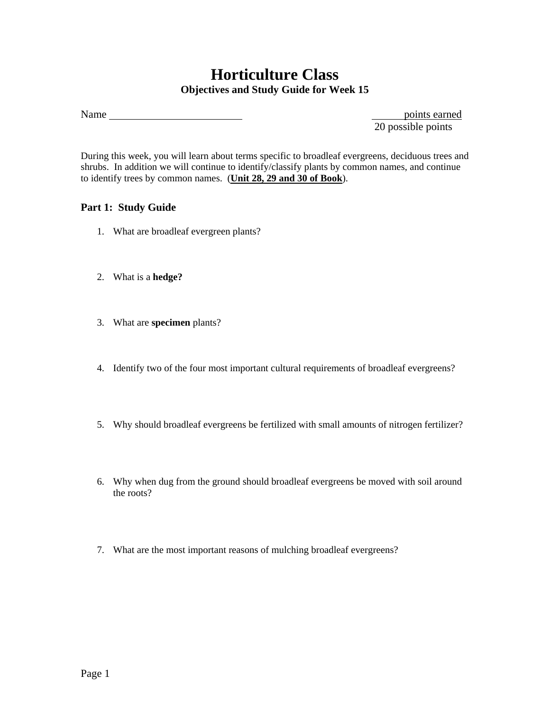## **Horticulture Class Objectives and Study Guide for Week 15**

Name points earned

20 possible points

During this week, you will learn about terms specific to broadleaf evergreens, deciduous trees and shrubs. In addition we will continue to identify/classify plants by common names, and continue to identify trees by common names. (**Unit 28, 29 and 30 of Book**).

## **Part 1: Study Guide**

- 1. What are broadleaf evergreen plants?
- 2. What is a **hedge?**
- 3. What are **specimen** plants?
- 4. Identify two of the four most important cultural requirements of broadleaf evergreens?
- 5. Why should broadleaf evergreens be fertilized with small amounts of nitrogen fertilizer?
- 6. Why when dug from the ground should broadleaf evergreens be moved with soil around the roots?
- 7. What are the most important reasons of mulching broadleaf evergreens?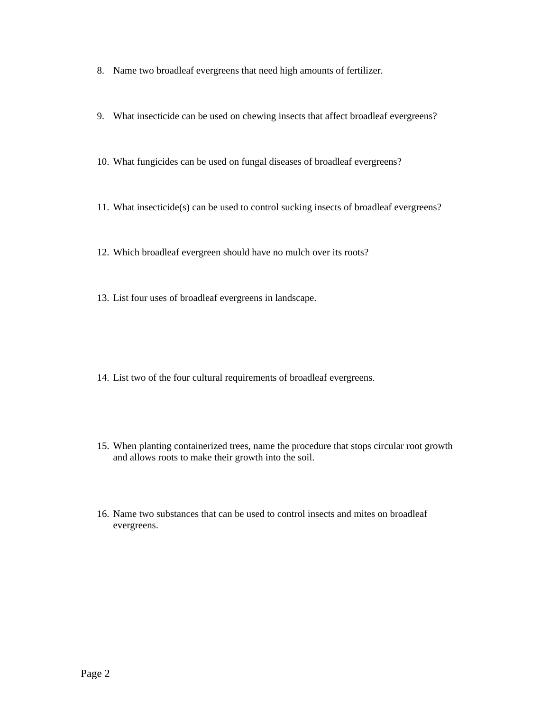- 8. Name two broadleaf evergreens that need high amounts of fertilizer.
- 9. What insecticide can be used on chewing insects that affect broadleaf evergreens?
- 10. What fungicides can be used on fungal diseases of broadleaf evergreens?
- 11. What insecticide(s) can be used to control sucking insects of broadleaf evergreens?
- 12. Which broadleaf evergreen should have no mulch over its roots?
- 13. List four uses of broadleaf evergreens in landscape.
- 14. List two of the four cultural requirements of broadleaf evergreens.
- 15. When planting containerized trees, name the procedure that stops circular root growth and allows roots to make their growth into the soil.
- 16. Name two substances that can be used to control insects and mites on broadleaf evergreens.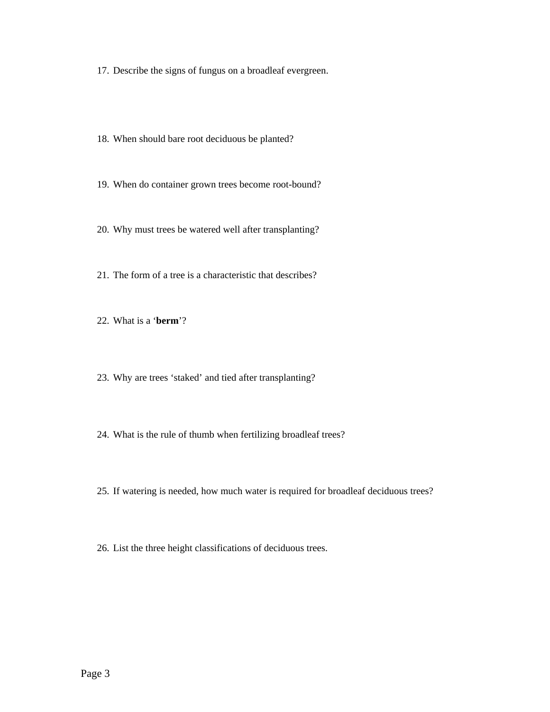17. Describe the signs of fungus on a broadleaf evergreen.

- 18. When should bare root deciduous be planted?
- 19. When do container grown trees become root-bound?
- 20. Why must trees be watered well after transplanting?
- 21. The form of a tree is a characteristic that describes?
- 22. What is a '**berm**'?
- 23. Why are trees 'staked' and tied after transplanting?
- 24. What is the rule of thumb when fertilizing broadleaf trees?
- 25. If watering is needed, how much water is required for broadleaf deciduous trees?
- 26. List the three height classifications of deciduous trees.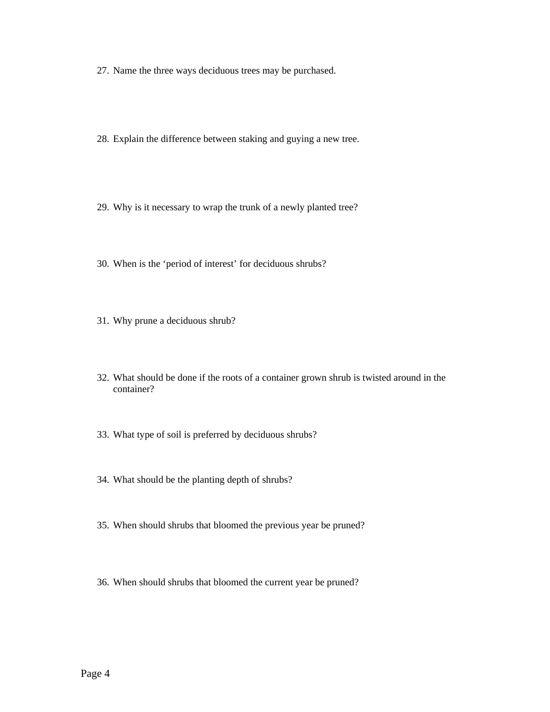- 27. Name the three ways deciduous trees may be purchased.
- 28. Explain the difference between staking and guying a new tree.
- 29. Why is it necessary to wrap the trunk of a newly planted tree?
- 30. When is the 'period of interest' for deciduous shrubs?
- 31. Why prune a deciduous shrub?
- 32. What should be done if the roots of a container grown shrub is twisted around in the container?
- 33. What type of soil is preferred by deciduous shrubs?
- 34. What should be the planting depth of shrubs?
- 35. When should shrubs that bloomed the previous year be pruned?
- 36. When should shrubs that bloomed the current year be pruned?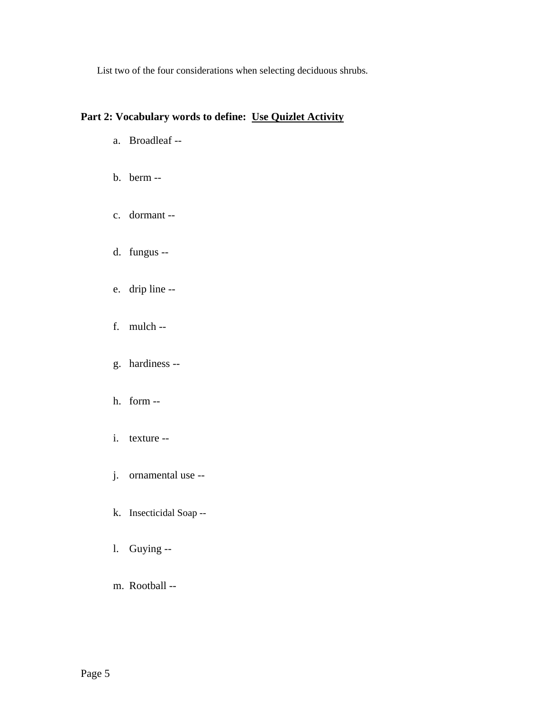List two of the four considerations when selecting deciduous shrubs.

## **Part 2: Vocabulary words to define: Use Quizlet Activity**

- a. Broadleaf --
- b. berm --
- c. dormant --
- d. fungus --
- e. drip line --
- f. mulch --
- g. hardiness --
- h. form --
- i. texture --
- j. ornamental use --
- k. Insecticidal Soap --
- l. Guying --
- m. Rootball --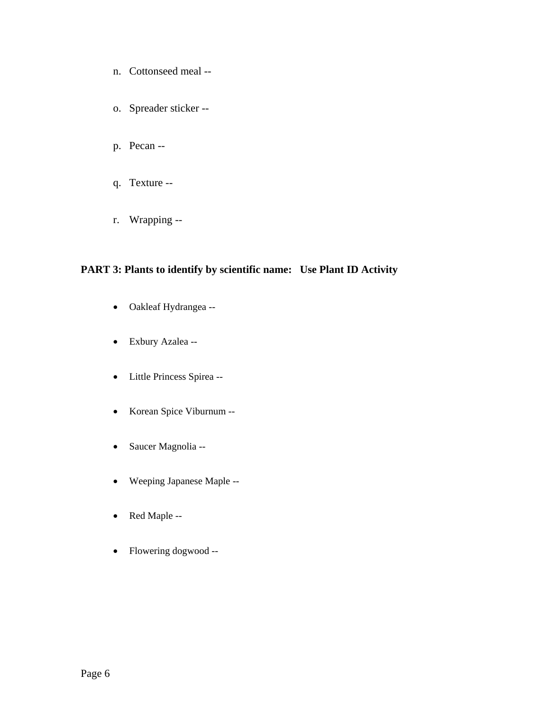- n. Cottonseed meal --
- o. Spreader sticker --
- p. Pecan --
- q. Texture --
- r. Wrapping --

## **PART 3: Plants to identify by scientific name: Use Plant ID Activity**

- Oakleaf Hydrangea --
- Exbury Azalea --
- Little Princess Spirea --
- Korean Spice Viburnum --
- Saucer Magnolia --
- Weeping Japanese Maple --
- Red Maple --
- Flowering dogwood --